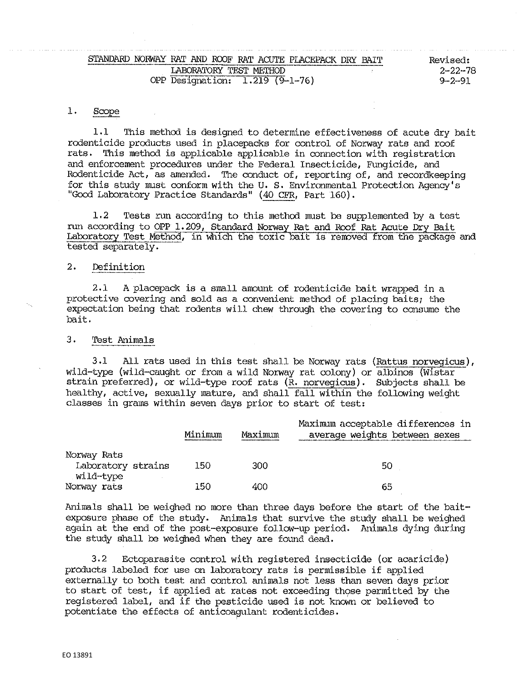| STANDARD<br>NORWAY RAT.<br>(2011) That If AC (105) at 1960 + 1965 different detailer von greating - view possible complement management around programmation and around a complete the complete state of a complete state of a complete state of a comple | AND.<br>ROOF RAT ACUTE PLACEPACK DRY<br>wido but have a constant former and supported there are any of the basic of the basic fact the side of the model constant and a constant area and a constant of the same | PATT<br>Revised: |
|-----------------------------------------------------------------------------------------------------------------------------------------------------------------------------------------------------------------------------------------------------------|------------------------------------------------------------------------------------------------------------------------------------------------------------------------------------------------------------------|------------------|
|                                                                                                                                                                                                                                                           | LABORATORY TEST<br>METHOD                                                                                                                                                                                        | $2 - 22 - 78$    |
| OPP                                                                                                                                                                                                                                                       | $(9 - 1 - 76)$<br>1.219<br>Designation:                                                                                                                                                                          | $9 - 2 - 9$      |

#### $1.$ Scope

1.1 This method is designed to determine effectiveness of acute dry bait rodenticide products used in placepacks for control of Norway rats and roof: rats, This method is applicable applicable in connection with registration and enforcement procedures under the Federal Insecticide, Fungicide, and Rodenticide Act, as amended. The conduct of, reporting of, and recordkeeping for this study must conform with the U.S. Environmental Protection Agency's "Good Laboratory Practice Standards" (40 CFR, Part 160),

1,2 Tests run according to this method must be supplemented by a test run according to OPP 1,209, Standard Norway Rat and Roof Rat Acute Dry Bait Laboratory Test Method, in which the toxic bait is removed from the package and tested separately.

# 2, Definition

2.1 A placepack is a small amount of rodenticide bait wrapped in a protective covering and sold as a convenient method of placing baits; the expectation being that rodents will chew through the covering to consume the bait.

## 3 • Test Animals

3.1 All rats used in this test shall be Norway rats (Rattus norvegicus), wild-type (wild-caught or from a wild Norway rat colony) or albinos (W1star strain preferred), or wild-type roof rats (R, norvegicus). Subjects shall be healthy, active, sexually mature, and shall fall within the following weight classes in grams within seven days prior to start of test:

|                                   | Minimum | Maximum | Maximum acceptable differences in<br>average weights between sexes |
|-----------------------------------|---------|---------|--------------------------------------------------------------------|
| Norway Rats<br>Laboratory strains | 150     | 300     | 50                                                                 |
| .wild-type<br>Norway rats         | 150     | 400     | 65                                                                 |

Animals shall be weighed no more than three days before the start of the baitexposure phase of the study. Animals that survive the study shall be weighed again at the end of the post-exposure follow-up period, Animals dying during the study shall be weighed when they are found dead.

3, 2 Ectoparasite control with registered insecticide (or acaricide) products labeled for use on laboratory rats is permissible if applied externally to both test and control animals not less than seven days prior to start of test, if applied at rates not exceeding those permitted by the registered label, and if the pesticide used is not known or believed to potentiate the effects of anticoagulant rodenticides.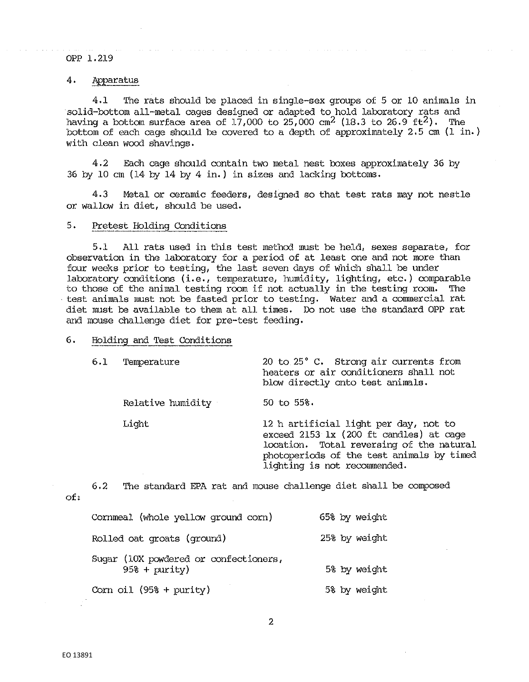OPP 1.219

# 4. Apparatus

4.1 The rats should be placed in single-sex groups of 5 or 10 animals in solid-bottom all-metal cages designed or adapted to hold laboratory rats and having a bottom surface area of 17,000 to 25,000 cm<sup>2</sup> (18.3 to 26.9 ft<sup>2</sup>). The bottom of each cage should be covered to a depth of approximately 2.5 cm  $(1 \text{ in.})$ with clean wood shavings.

4.2 Each cage should contain two metal nest boxes approximately 36 by 36 by 10 cm (14 by 14 by 4 in.) in sizes and lacking bottoms.

4.3 Metal or ceramic feeders, designed so that test rats may not nestle or wallow in diet, should be used.

### 5. Pretest Holding Conditions

5. 1 All rats used in this test method must be held, sexes separate, for observation in the laboratory for a period of at least one and not more than four weeks prior to testing, the last seven days of which shall be under laboratory conditions (i.e., temperature, humidity, lighting, etc.) comparable to those of the animal testing room if not actually in the testing room. The • test animals must not be fasted prior to testing. Water and a commercial rat diet must be available to them at all times, Do not use the standard OPP rat and mouse challenge diet for pre-test feeding.

#### 6. Holding and Test Conditions

| 6.1 | Temperature       | 20 to 25° C. Strong air currents from<br>heaters or air conditioners shall not<br>blow directly onto test animals.                                                                                        |
|-----|-------------------|-----------------------------------------------------------------------------------------------------------------------------------------------------------------------------------------------------------|
|     | Relative humidity | $50$ to $55\%$ .                                                                                                                                                                                          |
|     | Light             | 12 h artificial light per day, not to<br>exceed 2153 lx (200 ft candles) at cage<br>location. Total reversing of the natural<br>photoperiods of the test animals by timed<br>lighting is not recommended. |

6,2 'l'he standard EPA rat and mouse challenge diet shall be composed

| Cornmeal (whole yellow ground corn)                      | 65% by weight |
|----------------------------------------------------------|---------------|
| Rolled oat groats (ground)                               | 25% by weight |
| Sugar (10X powdered or confectioners,<br>$95\$ + purity) | 5% by weight  |
| Corn oil $(958 + purity)$                                | 5% by weight  |

of: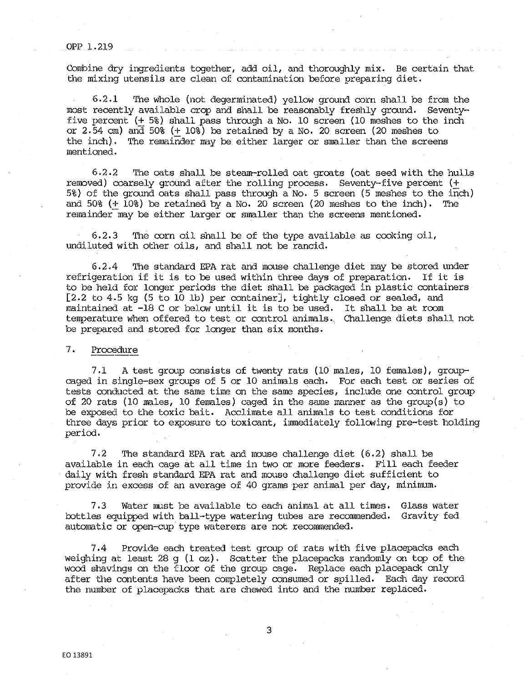#### OPP 1.219

Combine dry ingredients together, add oil, and thoroughly mix, Be certain that the mixing utensils are clean of contamination before preparing diet.

6.2.1 The whole (not degerminated) yellow ground corn shall be from the most recently ava:i.lable crop and shall be reasonably freshly ground. Seventyfive percent (+ 5%) shall pass through a No, 10 screen (10 meshes to the inch or 2. 54 cm) and 50% (+ 10%) be retained by a No, 20 screen (20 meshes to the inch). The remainder may be either larger or smaller than the screens mentioned.

6,2,2 The oats shall be steam-rolled oat groats (oat seed with the hulls removed) coarsely ground after the rolling process. Seventy-five percent  $(+)$ 5%} of the ground oats shall pass through a No, 5 screen (5 meshes to the inch) and 50% (+ 10%) be retained by a No, 20 screen (20 meshes to the inch). The remainder may be either larger or smaller than the screens mentioned.

6.2.3 The corn oil shall be of the type available as cooking oil, undiluted with other oils, and shall. not be rancid,

6,2,4 1he standard EPA rat and mouse challenge diet may be stored under refrigeration if it is to be used within three days of preparation. If it is to be held for longer periods the diet shall be packaged in plastic containers [2,2 to 4,5 kg (5 to 10 lb) per container], tightly closed or sealed, and maintained at -18 C or below until it is to be used. It shall. be at room temperature when offered to test or control animals. Challenge diets shall not be prepared and stored for longer than six months.

#### 7. Procedure

7,1 A test group consists of twenty rats (10 males, 10 females), group caged in single-sex groups of 5 or 10 animals each, For each test or series of tests conducted at the same time on the same species, include one control. group of 20 rats (10 males, 10 females) caged in the same manner as the group(s) to be exposed to the toxic bait. Acclimate all animals to test conditions for three days prior to exposure to toxicant, immediately following pre-test holding period,

7,2 The standard EPA rat and mouse challenge diet (6,2) shall be available in each cage at all time in two or more feeders, Fill each feeder daily with fresh standard EPA rat and mouse challenge diet sufficient to provide in excess of an average of 40 grams per animal per day, minimum.

7,3 Water must be available to each animal at al.1 times. Glass water bottles equipped with ball-type watering tubes are recommended. Gravity fed automatic or open-cup type waterers are not recommended,

7.4 Provide each treated test group of rats with five placepacks each weighing at least 28 g (1  $\infty$ ). Scatter the placepacks randomly on top of the wood shavings on the floor of the group cage. Replace each placepack only after the contents have been completely consumed or spilled, Each day record the number of placepacks that are chewed into and the number replaced.